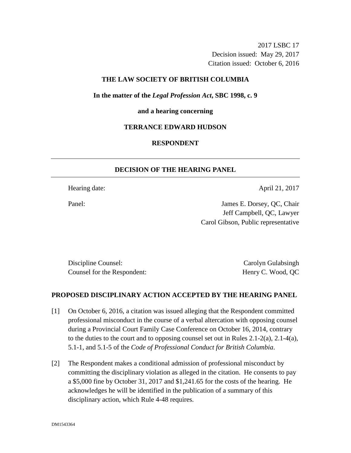2017 LSBC 17 Decision issued: May 29, 2017 Citation issued: October 6, 2016

### **THE LAW SOCIETY OF BRITISH COLUMBIA**

**In the matter of the** *Legal Profession Act***, SBC 1998, c. 9** 

#### **and a hearing concerning**

### **TERRANCE EDWARD HUDSON**

## **RESPONDENT**

## **DECISION OF THE HEARING PANEL**

Hearing date: April 21, 2017

Panel: James E. Dorsey, QC, Chair Jeff Campbell, QC, Lawyer Carol Gibson, Public representative

Discipline Counsel: Carolyn Gulabsingh Carolyn Gulabsingh Counsel for the Respondent: Henry C. Wood, QC

### **PROPOSED DISCIPLINARY ACTION ACCEPTED BY THE HEARING PANEL**

- [1] On October 6, 2016, a citation was issued alleging that the Respondent committed professional misconduct in the course of a verbal altercation with opposing counsel during a Provincial Court Family Case Conference on October 16, 2014, contrary to the duties to the court and to opposing counsel set out in Rules  $2.1\n-2(a)$ ,  $2.1\n-4(a)$ , 5.1-1, and 5.1-5 of the *Code of Professional Conduct for British Columbia*.
- [2] The Respondent makes a conditional admission of professional misconduct by committing the disciplinary violation as alleged in the citation. He consents to pay a \$5,000 fine by October 31, 2017 and \$1,241.65 for the costs of the hearing. He acknowledges he will be identified in the publication of a summary of this disciplinary action, which Rule 4-48 requires.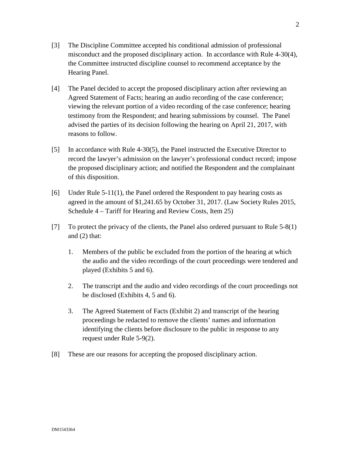- [3] The Discipline Committee accepted his conditional admission of professional misconduct and the proposed disciplinary action. In accordance with Rule 4-30(4), the Committee instructed discipline counsel to recommend acceptance by the Hearing Panel.
- [4] The Panel decided to accept the proposed disciplinary action after reviewing an Agreed Statement of Facts; hearing an audio recording of the case conference; viewing the relevant portion of a video recording of the case conference; hearing testimony from the Respondent; and hearing submissions by counsel. The Panel advised the parties of its decision following the hearing on April 21, 2017, with reasons to follow.
- [5] In accordance with Rule 4-30(5), the Panel instructed the Executive Director to record the lawyer's admission on the lawyer's professional conduct record; impose the proposed disciplinary action; and notified the Respondent and the complainant of this disposition.
- [6] Under Rule 5-11(1), the Panel ordered the Respondent to pay hearing costs as agreed in the amount of \$1,241.65 by October 31, 2017. (Law Society Rules 2015, Schedule 4 – Tariff for Hearing and Review Costs, Item 25)
- [7] To protect the privacy of the clients, the Panel also ordered pursuant to Rule 5-8(1) and (2) that:
	- 1. Members of the public be excluded from the portion of the hearing at which the audio and the video recordings of the court proceedings were tendered and played (Exhibits 5 and 6).
	- 2. The transcript and the audio and video recordings of the court proceedings not be disclosed (Exhibits 4, 5 and 6).
	- 3. The Agreed Statement of Facts (Exhibit 2) and transcript of the hearing proceedings be redacted to remove the clients' names and information identifying the clients before disclosure to the public in response to any request under Rule 5-9(2).
- [8] These are our reasons for accepting the proposed disciplinary action.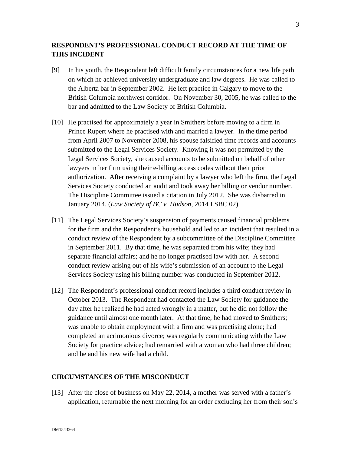# **RESPONDENT'S PROFESSIONAL CONDUCT RECORD AT THE TIME OF THIS INCIDENT**

- [9] In his youth, the Respondent left difficult family circumstances for a new life path on which he achieved university undergraduate and law degrees. He was called to the Alberta bar in September 2002. He left practice in Calgary to move to the British Columbia northwest corridor. On November 30, 2005, he was called to the bar and admitted to the Law Society of British Columbia.
- [10] He practised for approximately a year in Smithers before moving to a firm in Prince Rupert where he practised with and married a lawyer. In the time period from April 2007 to November 2008, his spouse falsified time records and accounts submitted to the Legal Services Society. Knowing it was not permitted by the Legal Services Society, she caused accounts to be submitted on behalf of other lawyers in her firm using their e-billing access codes without their prior authorization. After receiving a complaint by a lawyer who left the firm, the Legal Services Society conducted an audit and took away her billing or vendor number. The Discipline Committee issued a citation in July 2012. She was disbarred in January 2014. (*Law Society of BC v. Hudson*, 2014 LSBC 02)
- [11] The Legal Services Society's suspension of payments caused financial problems for the firm and the Respondent's household and led to an incident that resulted in a conduct review of the Respondent by a subcommittee of the Discipline Committee in September 2011. By that time, he was separated from his wife; they had separate financial affairs; and he no longer practised law with her. A second conduct review arising out of his wife's submission of an account to the Legal Services Society using his billing number was conducted in September 2012.
- [12] The Respondent's professional conduct record includes a third conduct review in October 2013. The Respondent had contacted the Law Society for guidance the day after he realized he had acted wrongly in a matter, but he did not follow the guidance until almost one month later. At that time, he had moved to Smithers; was unable to obtain employment with a firm and was practising alone; had completed an acrimonious divorce; was regularly communicating with the Law Society for practice advice; had remarried with a woman who had three children; and he and his new wife had a child.

### **CIRCUMSTANCES OF THE MISCONDUCT**

[13] After the close of business on May 22, 2014, a mother was served with a father's application, returnable the next morning for an order excluding her from their son's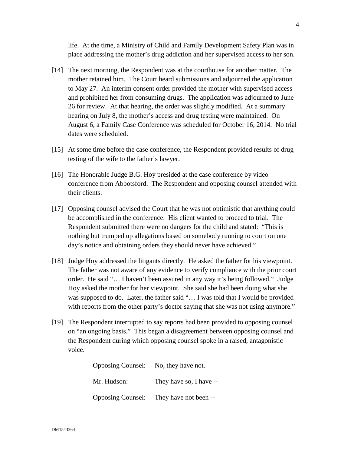life. At the time, a Ministry of Child and Family Development Safety Plan was in place addressing the mother's drug addiction and her supervised access to her son.

- [14] The next morning, the Respondent was at the courthouse for another matter. The mother retained him. The Court heard submissions and adjourned the application to May 27. An interim consent order provided the mother with supervised access and prohibited her from consuming drugs. The application was adjourned to June 26 for review. At that hearing, the order was slightly modified. At a summary hearing on July 8, the mother's access and drug testing were maintained. On August 6, a Family Case Conference was scheduled for October 16, 2014. No trial dates were scheduled.
- [15] At some time before the case conference, the Respondent provided results of drug testing of the wife to the father's lawyer.
- [16] The Honorable Judge B.G. Hoy presided at the case conference by video conference from Abbotsford. The Respondent and opposing counsel attended with their clients.
- [17] Opposing counsel advised the Court that he was not optimistic that anything could be accomplished in the conference. His client wanted to proceed to trial. The Respondent submitted there were no dangers for the child and stated: "This is nothing but trumped up allegations based on somebody running to court on one day's notice and obtaining orders they should never have achieved."
- [18] Judge Hoy addressed the litigants directly. He asked the father for his viewpoint. The father was not aware of any evidence to verify compliance with the prior court order. He said "… I haven't been assured in any way it's being followed." Judge Hoy asked the mother for her viewpoint. She said she had been doing what she was supposed to do. Later, the father said "... I was told that I would be provided with reports from the other party's doctor saying that she was not using anymore."
- [19] The Respondent interrupted to say reports had been provided to opposing counsel on "an ongoing basis." This began a disagreement between opposing counsel and the Respondent during which opposing counsel spoke in a raised, antagonistic voice.

| Opposing Counsel: No, they have not. |                                         |
|--------------------------------------|-----------------------------------------|
| Mr. Hudson:                          | They have so, I have --                 |
|                                      | Opposing Counsel: They have not been -- |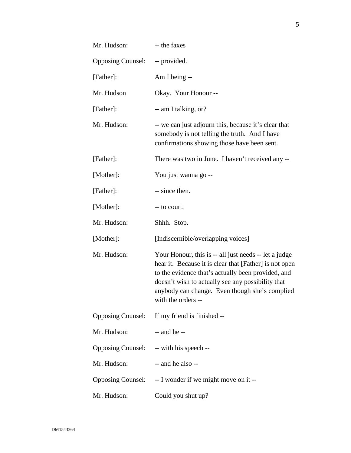| Mr. Hudson:              | -- the faxes                                                                                                                                                                                                                                                                                       |
|--------------------------|----------------------------------------------------------------------------------------------------------------------------------------------------------------------------------------------------------------------------------------------------------------------------------------------------|
| <b>Opposing Counsel:</b> | -- provided.                                                                                                                                                                                                                                                                                       |
| [Father]:                | Am I being --                                                                                                                                                                                                                                                                                      |
| Mr. Hudson               | Okay. Your Honour --                                                                                                                                                                                                                                                                               |
| [Father]:                | -- am I talking, or?                                                                                                                                                                                                                                                                               |
| Mr. Hudson:              | -- we can just adjourn this, because it's clear that<br>somebody is not telling the truth. And I have<br>confirmations showing those have been sent.                                                                                                                                               |
| [Father]:                | There was two in June. I haven't received any --                                                                                                                                                                                                                                                   |
| [Mother]:                | You just wanna go --                                                                                                                                                                                                                                                                               |
| [Father]:                | -- since then.                                                                                                                                                                                                                                                                                     |
| [Mother]:                | -- to court.                                                                                                                                                                                                                                                                                       |
| Mr. Hudson:              | Shhh. Stop.                                                                                                                                                                                                                                                                                        |
| [Mother]:                | [Indiscernible/overlapping voices]                                                                                                                                                                                                                                                                 |
| Mr. Hudson:              | Your Honour, this is -- all just needs -- let a judge<br>hear it. Because it is clear that [Father] is not open<br>to the evidence that's actually been provided, and<br>doesn't wish to actually see any possibility that<br>anybody can change. Even though she's complied<br>with the orders -- |
| <b>Opposing Counsel:</b> | If my friend is finished --                                                                                                                                                                                                                                                                        |
| Mr. Hudson:              | $-$ and he $-$                                                                                                                                                                                                                                                                                     |
|                          | Opposing Counsel: -- with his speech --                                                                                                                                                                                                                                                            |
| Mr. Hudson:              | -- and he also --                                                                                                                                                                                                                                                                                  |
| <b>Opposing Counsel:</b> | -- I wonder if we might move on it --                                                                                                                                                                                                                                                              |
| Mr. Hudson:              | Could you shut up?                                                                                                                                                                                                                                                                                 |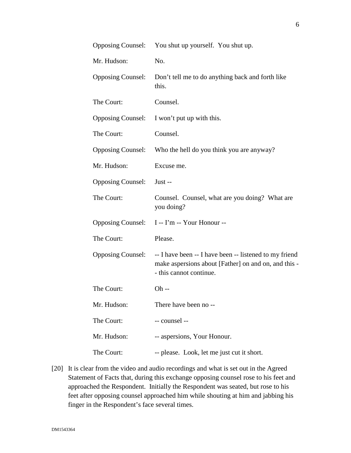|                          | Opposing Counsel: You shut up yourself. You shut up.                                                                                      |
|--------------------------|-------------------------------------------------------------------------------------------------------------------------------------------|
| Mr. Hudson:              | No.                                                                                                                                       |
| <b>Opposing Counsel:</b> | Don't tell me to do anything back and forth like<br>this.                                                                                 |
| The Court:               | Counsel.                                                                                                                                  |
| <b>Opposing Counsel:</b> | I won't put up with this.                                                                                                                 |
| The Court:               | Counsel.                                                                                                                                  |
| <b>Opposing Counsel:</b> | Who the hell do you think you are anyway?                                                                                                 |
| Mr. Hudson:              | Excuse me.                                                                                                                                |
| <b>Opposing Counsel:</b> | Just --                                                                                                                                   |
| The Court:               | Counsel. Counsel, what are you doing? What are<br>you doing?                                                                              |
| <b>Opposing Counsel:</b> | I -- I'm -- Your Honour --                                                                                                                |
| The Court:               | Please.                                                                                                                                   |
| <b>Opposing Counsel:</b> | -- I have been -- I have been -- listened to my friend<br>make aspersions about [Father] on and on, and this -<br>- this cannot continue. |
| The Court:               | $Oh -$                                                                                                                                    |
| Mr. Hudson:              | There have been no --                                                                                                                     |
| The Court:               | -- counsel --                                                                                                                             |
| Mr. Hudson:              | -- aspersions, Your Honour.                                                                                                               |
| The Court:               | -- please. Look, let me just cut it short.                                                                                                |

[20] It is clear from the video and audio recordings and what is set out in the Agreed Statement of Facts that, during this exchange opposing counsel rose to his feet and approached the Respondent. Initially the Respondent was seated, but rose to his feet after opposing counsel approached him while shouting at him and jabbing his finger in the Respondent's face several times.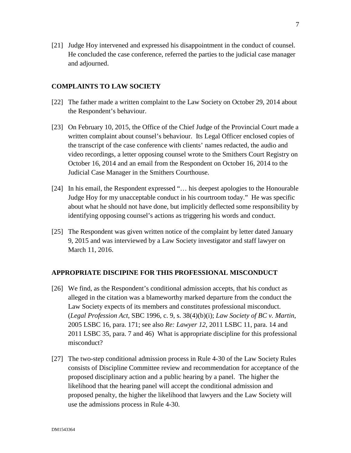[21] Judge Hoy intervened and expressed his disappointment in the conduct of counsel. He concluded the case conference, referred the parties to the judicial case manager and adjourned.

### **COMPLAINTS TO LAW SOCIETY**

- [22] The father made a written complaint to the Law Society on October 29, 2014 about the Respondent's behaviour.
- [23] On February 10, 2015, the Office of the Chief Judge of the Provincial Court made a written complaint about counsel's behaviour. Its Legal Officer enclosed copies of the transcript of the case conference with clients' names redacted, the audio and video recordings, a letter opposing counsel wrote to the Smithers Court Registry on October 16, 2014 and an email from the Respondent on October 16, 2014 to the Judicial Case Manager in the Smithers Courthouse.
- [24] In his email, the Respondent expressed "... his deepest apologies to the Honourable Judge Hoy for my unacceptable conduct in his courtroom today." He was specific about what he should not have done, but implicitly deflected some responsibility by identifying opposing counsel's actions as triggering his words and conduct.
- [25] The Respondent was given written notice of the complaint by letter dated January 9, 2015 and was interviewed by a Law Society investigator and staff lawyer on March 11, 2016.

#### **APPROPRIATE DISCIPINE FOR THIS PROFESSIONAL MISCONDUCT**

- [26] We find, as the Respondent's conditional admission accepts, that his conduct as alleged in the citation was a blameworthy marked departure from the conduct the Law Society expects of its members and constitutes professional misconduct. (*Legal Profession Act*, SBC 1996, c. 9, s. 38(4)(b)(i); *Law Society of BC v. Martin*, 2005 LSBC 16, para. 171; see also *Re: Lawyer 12*, 2011 LSBC 11, para. 14 and 2011 LSBC 35, para. 7 and 46) What is appropriate discipline for this professional misconduct?
- [27] The two-step conditional admission process in Rule 4-30 of the Law Society Rules consists of Discipline Committee review and recommendation for acceptance of the proposed disciplinary action and a public hearing by a panel. The higher the likelihood that the hearing panel will accept the conditional admission and proposed penalty, the higher the likelihood that lawyers and the Law Society will use the admissions process in Rule 4-30.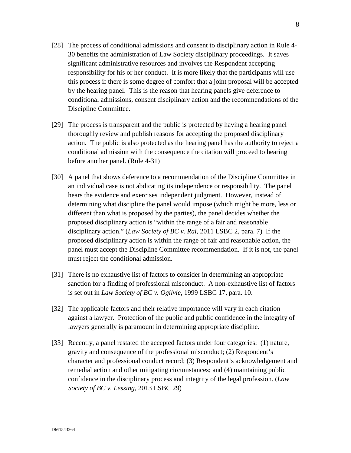- [28] The process of conditional admissions and consent to disciplinary action in Rule 4- 30 benefits the administration of Law Society disciplinary proceedings. It saves significant administrative resources and involves the Respondent accepting responsibility for his or her conduct. It is more likely that the participants will use this process if there is some degree of comfort that a joint proposal will be accepted by the hearing panel. This is the reason that hearing panels give deference to conditional admissions, consent disciplinary action and the recommendations of the Discipline Committee.
- [29] The process is transparent and the public is protected by having a hearing panel thoroughly review and publish reasons for accepting the proposed disciplinary action. The public is also protected as the hearing panel has the authority to reject a conditional admission with the consequence the citation will proceed to hearing before another panel. (Rule 4-31)
- [30] A panel that shows deference to a recommendation of the Discipline Committee in an individual case is not abdicating its independence or responsibility. The panel hears the evidence and exercises independent judgment. However, instead of determining what discipline the panel would impose (which might be more, less or different than what is proposed by the parties), the panel decides whether the proposed disciplinary action is "within the range of a fair and reasonable disciplinary action." (*Law Society of BC v. Rai*, 2011 LSBC 2, para. 7) If the proposed disciplinary action is within the range of fair and reasonable action, the panel must accept the Discipline Committee recommendation. If it is not, the panel must reject the conditional admission.
- [31] There is no exhaustive list of factors to consider in determining an appropriate sanction for a finding of professional misconduct. A non-exhaustive list of factors is set out in *Law Society of BC v. Ogilvie*, 1999 LSBC 17, para. 10.
- [32] The applicable factors and their relative importance will vary in each citation against a lawyer. Protection of the public and public confidence in the integrity of lawyers generally is paramount in determining appropriate discipline.
- [33] Recently, a panel restated the accepted factors under four categories: (1) nature, gravity and consequence of the professional misconduct; (2) Respondent's character and professional conduct record; (3) Respondent's acknowledgement and remedial action and other mitigating circumstances; and (4) maintaining public confidence in the disciplinary process and integrity of the legal profession. (*Law Society of BC v. Lessing*, 2013 LSBC 29)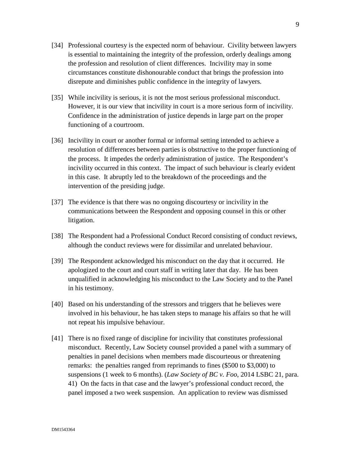- [34] Professional courtesy is the expected norm of behaviour. Civility between lawyers is essential to maintaining the integrity of the profession, orderly dealings among the profession and resolution of client differences. Incivility may in some circumstances constitute dishonourable conduct that brings the profession into disrepute and diminishes public confidence in the integrity of lawyers.
- [35] While incivility is serious, it is not the most serious professional misconduct. However, it is our view that incivility in court is a more serious form of incivility. Confidence in the administration of justice depends in large part on the proper functioning of a courtroom.
- [36] Incivility in court or another formal or informal setting intended to achieve a resolution of differences between parties is obstructive to the proper functioning of the process. It impedes the orderly administration of justice. The Respondent's incivility occurred in this context. The impact of such behaviour is clearly evident in this case. It abruptly led to the breakdown of the proceedings and the intervention of the presiding judge.
- [37] The evidence is that there was no ongoing discourtesy or incivility in the communications between the Respondent and opposing counsel in this or other litigation.
- [38] The Respondent had a Professional Conduct Record consisting of conduct reviews, although the conduct reviews were for dissimilar and unrelated behaviour.
- [39] The Respondent acknowledged his misconduct on the day that it occurred. He apologized to the court and court staff in writing later that day. He has been unqualified in acknowledging his misconduct to the Law Society and to the Panel in his testimony.
- [40] Based on his understanding of the stressors and triggers that he believes were involved in his behaviour, he has taken steps to manage his affairs so that he will not repeat his impulsive behaviour.
- [41] There is no fixed range of discipline for incivility that constitutes professional misconduct. Recently, Law Society counsel provided a panel with a summary of penalties in panel decisions when members made discourteous or threatening remarks: the penalties ranged from reprimands to fines (\$500 to \$3,000) to suspensions (1 week to 6 months). (*Law Society of BC v. Foo*, 2014 LSBC 21, para. 41) On the facts in that case and the lawyer's professional conduct record, the panel imposed a two week suspension. An application to review was dismissed